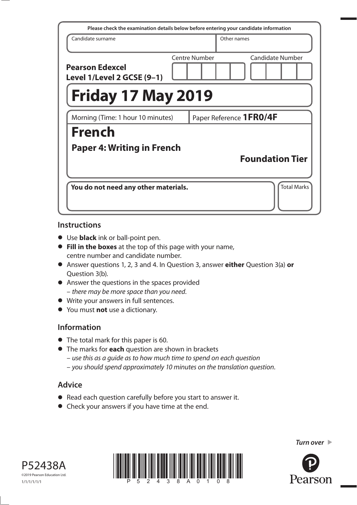| Please check the examination details below before entering your candidate information |  |               |                         |                         |
|---------------------------------------------------------------------------------------|--|---------------|-------------------------|-------------------------|
| Candidate surname                                                                     |  |               | Other names             |                         |
| <b>Pearson Edexcel</b><br>Level 1/Level 2 GCSE (9-1)                                  |  | Centre Number |                         | <b>Candidate Number</b> |
| Friday 17 May 2019                                                                    |  |               |                         |                         |
| Morning (Time: 1 hour 10 minutes)                                                     |  |               | Paper Reference 1FR0/4F |                         |
| <b>French</b>                                                                         |  |               |                         |                         |
| <b>Paper 4: Writing in French</b>                                                     |  |               |                         |                         |
|                                                                                       |  |               |                         | <b>Foundation Tier</b>  |
| You do not need any other materials.                                                  |  |               |                         | <b>Total Marks</b>      |

## **Instructions**

- Use **black** ink or ball-point pen.
- **Fill in the boxes** at the top of this page with your name, centre number and candidate number.
- Answer questions 1, 2, 3 and 4. In Question 3, answer **either** Question 3(a) **or** Question 3(b).
- Answer the questions in the spaces provided – there may be more space than you need.
- Write your answers in full sentences.
- You must **not** use a dictionary.

## **Information**

- The total mark for this paper is 60.
- The marks for **each** question are shown in brackets
	- use this as a guide as to how much time to spend on each question
	- you should spend approximately 10 minutes on the translation question.

# **Advice**

- Read each question carefully before you start to answer it.
- Check your answers if you have time at the end.





**Turn over** 

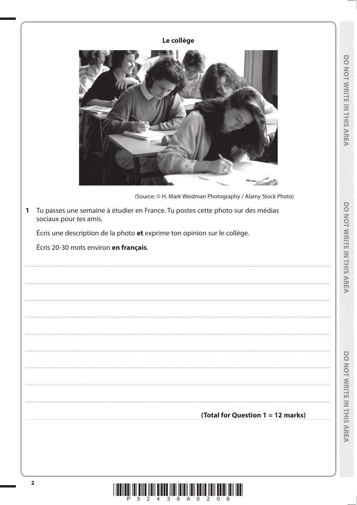# **DO NOT WRITE IN THIS AREA**

## Le collège



(Source: © H. Mark Weidman Photography / Alamy Stock Photo)

Tu passes une semaine à étudier en France. Tu postes cette photo sur des médias  $\mathbf{1}$ sociaux pour tes amis.

Écris une description de la photo et exprime ton opinion sur le collège.

Écris 20-30 mots environ en français.

(Total for Question 1 = 12 marks)

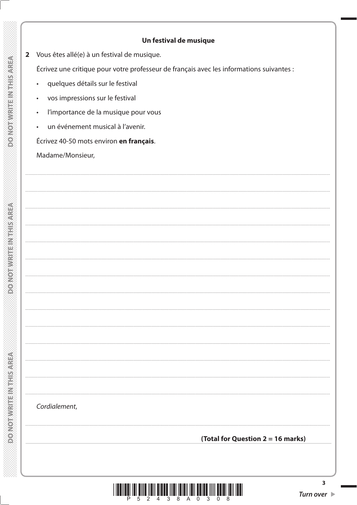### Un festival de musique

2 Vous êtes allé(e) à un festival de musique.

Écrivez une critique pour votre professeur de français avec les informations suivantes :

- quelques détails sur le festival  $\bullet$
- vos impressions sur le festival  $\bullet$
- l'importance de la musique pour vous  $\bullet$
- un événement musical à l'avenir.  $\bullet$

Écrivez 40-50 mots environ en français.

Madame/Monsieur,

Cordialement,

(Total for Question 2 = 16 marks)

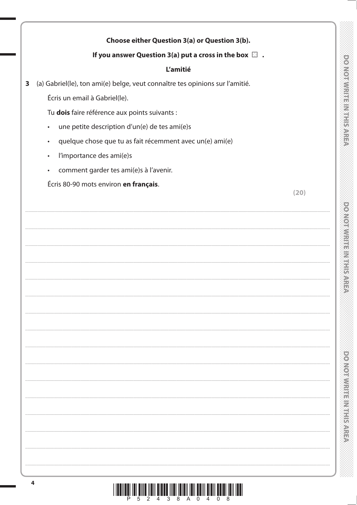| Choose either Question 3(a) or Question 3(b).                                |
|------------------------------------------------------------------------------|
| If you answer Question 3(a) put a cross in the box $\mathbb S$ .             |
| L'amitié                                                                     |
| (a) Gabriel(le), ton ami(e) belge, veut connaître tes opinions sur l'amitié. |
| Écris un email à Gabriel(le).                                                |
| Tu <b>dois</b> faire référence aux points suivants :                         |
| une petite description d'un(e) de tes ami(e)s<br>$\bullet$                   |
| quelque chose que tu as fait récemment avec un(e) ami(e)                     |
| l'importance des ami(e)s                                                     |
|                                                                              |

comment garder tes ami(e)s à l'avenir.  $\bullet$ 

Écris 80-90 mots environ en français.

 $(20)$ 

DO NOTWRITE MITHIS AREA

![](_page_3_Picture_6.jpeg)

 $\overline{\mathbf{3}}$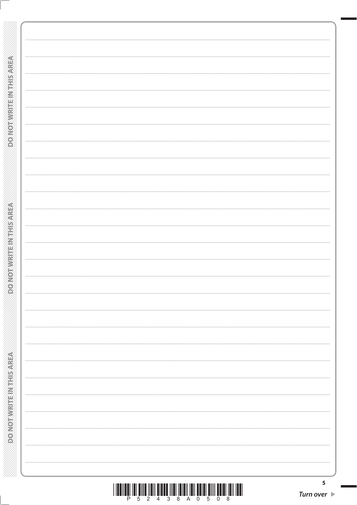| <b>ASSESSMENTS MANAGED</b>        |          |                                      |
|-----------------------------------|----------|--------------------------------------|
|                                   |          |                                      |
|                                   |          |                                      |
|                                   |          |                                      |
|                                   |          |                                      |
|                                   |          |                                      |
|                                   |          |                                      |
|                                   |          |                                      |
|                                   |          |                                      |
|                                   |          |                                      |
|                                   |          |                                      |
|                                   |          |                                      |
|                                   |          |                                      |
|                                   |          |                                      |
|                                   |          |                                      |
|                                   |          |                                      |
|                                   |          |                                      |
|                                   |          |                                      |
| <b>CONCERNATION AND THE STATE</b> |          |                                      |
|                                   |          |                                      |
|                                   |          |                                      |
|                                   |          |                                      |
|                                   |          |                                      |
|                                   |          |                                      |
|                                   |          |                                      |
|                                   |          |                                      |
|                                   |          |                                      |
|                                   |          |                                      |
|                                   |          |                                      |
|                                   | $\cdots$ |                                      |
|                                   |          |                                      |
|                                   |          |                                      |
|                                   | $\cdots$ |                                      |
| <b>DONOTWRITEININGSAREA</b>       |          |                                      |
|                                   |          |                                      |
|                                   |          |                                      |
|                                   |          |                                      |
|                                   |          | 5<br>Turn over $\blacktriangleright$ |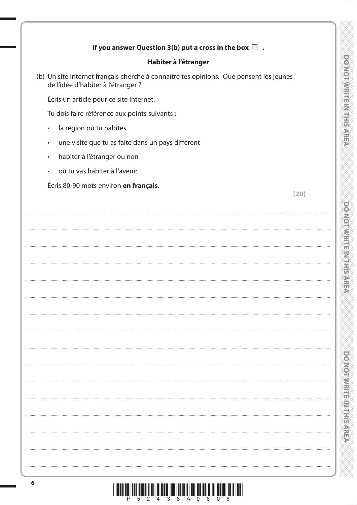| If you answer Question 3(b) put a cross in the box $\Box$ .                                                                  |                                   |
|------------------------------------------------------------------------------------------------------------------------------|-----------------------------------|
| Habiter à l'étranger                                                                                                         |                                   |
| (b) Un site Internet français cherche à connaître tes opinions. Que pensent les jeunes<br>de l'idée d'habiter à l'étranger ? | <b>MORNING TELNISH SANSEY</b>     |
| Écris un article pour ce site Internet.                                                                                      |                                   |
| Tu dois faire référence aux points suivants :                                                                                |                                   |
| la région où tu habites<br>$\bullet$                                                                                         |                                   |
| une visite que tu as faite dans un pays différent<br>$\bullet$                                                               |                                   |
| habiter à l'étranger ou non<br>$\bullet$                                                                                     |                                   |
| où tu vas habiter à l'avenir.                                                                                                |                                   |
| Écris 80-90 mots environ en français.                                                                                        |                                   |
| (20)                                                                                                                         |                                   |
|                                                                                                                              |                                   |
|                                                                                                                              |                                   |
|                                                                                                                              |                                   |
|                                                                                                                              |                                   |
|                                                                                                                              | <b>DOMOROVANE IN ASSESSMENT</b>   |
|                                                                                                                              |                                   |
|                                                                                                                              |                                   |
|                                                                                                                              |                                   |
|                                                                                                                              |                                   |
|                                                                                                                              |                                   |
|                                                                                                                              |                                   |
|                                                                                                                              |                                   |
|                                                                                                                              |                                   |
|                                                                                                                              |                                   |
|                                                                                                                              |                                   |
|                                                                                                                              | position with the main is a refer |
|                                                                                                                              |                                   |
|                                                                                                                              |                                   |
|                                                                                                                              |                                   |

![](_page_5_Picture_1.jpeg)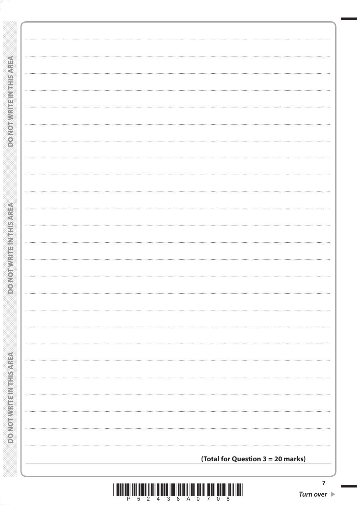| (Total for Question 3 = 20 marks) |
|-----------------------------------|
|                                   |
|                                   |
|                                   |
|                                   |
| $\cdots$                          |
|                                   |
|                                   |
|                                   |
|                                   |
|                                   |
|                                   |
| <br>                              |
|                                   |
|                                   |
|                                   |
|                                   |
|                                   |
|                                   |
|                                   |
|                                   |
|                                   |
|                                   |
|                                   |
|                                   |
|                                   |

![](_page_6_Picture_1.jpeg)

§

 $\overline{7}$